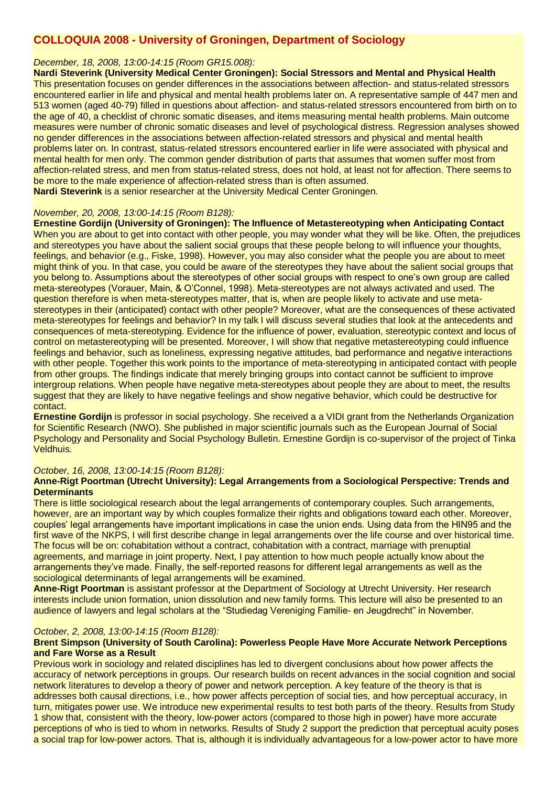# **COLLOQUIA 2008 - University of Groningen, Department of Sociology**

# *December, 18, 2008, 13:00-14:15 (Room GR15.008):*

**Nardi Steverink (University Medical Center Groningen): Social Stressors and Mental and Physical Health** This presentation focuses on gender differences in the associations between affection- and status-related stressors encountered earlier in life and physical and mental health problems later on. A representative sample of 447 men and 513 women (aged 40-79) filled in questions about affection- and status-related stressors encountered from birth on to the age of 40, a checklist of chronic somatic diseases, and items measuring mental health problems. Main outcome measures were number of chronic somatic diseases and level of psychological distress. Regression analyses showed no gender differences in the associations between affection-related stressors and physical and mental health problems later on. In contrast, status-related stressors encountered earlier in life were associated with physical and mental health for men only. The common gender distribution of parts that assumes that women suffer most from affection-related stress, and men from status-related stress, does not hold, at least not for affection. There seems to be more to the male experience of affection-related stress than is often assumed. **Nardi Steverink** is a senior researcher at the University Medical Center Groningen.

# *November, 20, 2008, 13:00-14:15 (Room B128):*

**Ernestine Gordijn (University of Groningen): The Influence of Metastereotyping when Anticipating Contact** When you are about to get into contact with other people, you may wonder what they will be like. Often, the prejudices and stereotypes you have about the salient social groups that these people belong to will influence your thoughts, feelings, and behavior (e.g., Fiske, 1998). However, you may also consider what the people you are about to meet might think of you. In that case, you could be aware of the stereotypes they have about the salient social groups that you belong to. Assumptions about the stereotypes of other social groups with respect to one's own group are called meta-stereotypes (Vorauer, Main, & O'Connel, 1998). Meta-stereotypes are not always activated and used. The question therefore is when meta-stereotypes matter, that is, when are people likely to activate and use metastereotypes in their (anticipated) contact with other people? Moreover, what are the consequences of these activated meta-stereotypes for feelings and behavior? In my talk I will discuss several studies that look at the antecedents and consequences of meta-stereotyping. Evidence for the influence of power, evaluation, stereotypic context and locus of control on metastereotyping will be presented. Moreover, I will show that negative metastereotyping could influence feelings and behavior, such as loneliness, expressing negative attitudes, bad performance and negative interactions with other people. Together this work points to the importance of meta-stereotyping in anticipated contact with people from other groups. The findings indicate that merely bringing groups into contact cannot be sufficient to improve intergroup relations. When people have negative meta-stereotypes about people they are about to meet, the results suggest that they are likely to have negative feelings and show negative behavior, which could be destructive for contact.

**Ernestine Gordijn** is professor in social psychology. She received a a VIDI grant from the Netherlands Organization for Scientific Research (NWO). She published in major scientific journals such as the European Journal of Social Psychology and Personality and Social Psychology Bulletin. Ernestine Gordijn is co-supervisor of the project of Tinka Veldhuis.

#### *October, 16, 2008, 13:00-14:15 (Room B128):*

#### **Anne-Rigt Poortman (Utrecht University): Legal Arrangements from a Sociological Perspective: Trends and Determinants**

There is little sociological research about the legal arrangements of contemporary couples. Such arrangements, however, are an important way by which couples formalize their rights and obligations toward each other. Moreover, couples' legal arrangements have important implications in case the union ends. Using data from the HIN95 and the first wave of the NKPS, I will first describe change in legal arrangements over the life course and over historical time. The focus will be on: cohabitation without a contract, cohabitation with a contract, marriage with prenuptial agreements, and marriage in joint property. Next, I pay attention to how much people actually know about the arrangements they've made. Finally, the self-reported reasons for different legal arrangements as well as the sociological determinants of legal arrangements will be examined.

**Anne-Rigt Poortman** is assistant professor at the Department of Sociology at Utrecht University. Her research interests include union formation, union dissolution and new family forms. This lecture will also be presented to an audience of lawyers and legal scholars at the "Studiedag Vereniging Familie- en Jeugdrecht" in November.

#### *October, 2, 2008, 13:00-14:15 (Room B128):*

#### **Brent Simpson (University of South Carolina): Powerless People Have More Accurate Network Perceptions and Fare Worse as a Result**

Previous work in sociology and related disciplines has led to divergent conclusions about how power affects the accuracy of network perceptions in groups. Our research builds on recent advances in the social cognition and social network literatures to develop a theory of power and network perception. A key feature of the theory is that is addresses both causal directions, i.e., how power affects perception of social ties, and how perceptual accuracy, in turn, mitigates power use. We introduce new experimental results to test both parts of the theory. Results from Study 1 show that, consistent with the theory, low-power actors (compared to those high in power) have more accurate perceptions of who is tied to whom in networks. Results of Study 2 support the prediction that perceptual acuity poses a social trap for low-power actors. That is, although it is individually advantageous for a low-power actor to have more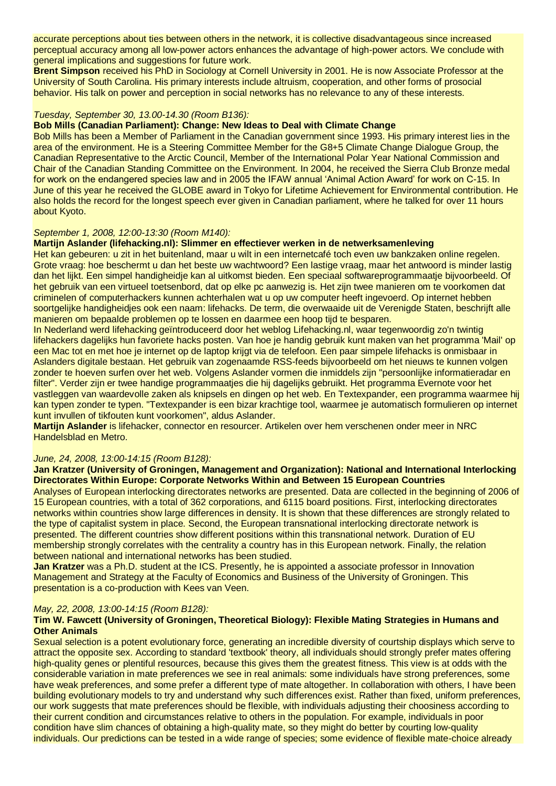accurate perceptions about ties between others in the network, it is collective disadvantageous since increased perceptual accuracy among all low-power actors enhances the advantage of high-power actors. We conclude with general implications and suggestions for future work.

**Brent Simpson** received his PhD in Sociology at Cornell University in 2001. He is now Associate Professor at the University of South Carolina. His primary interests include altruism, cooperation, and other forms of prosocial behavior. His talk on power and perception in social networks has no relevance to any of these interests.

# *Tuesday, September 30, 13.00-14.30 (Room B136):*

## **Bob Mills (Canadian Parliament): Change: New Ideas to Deal with Climate Change**

Bob Mills has been a Member of Parliament in the Canadian government since 1993. His primary interest lies in the area of the environment. He is a Steering Committee Member for the G8+5 Climate Change Dialogue Group, the Canadian Representative to the Arctic Council, Member of the International Polar Year National Commission and Chair of the Canadian Standing Committee on the Environment. In 2004, he received the Sierra Club Bronze medal for work on the endangered species law and in 2005 the IFAW annual 'Animal Action Award' for work on C-15. In June of this year he received the GLOBE award in Tokyo for Lifetime Achievement for Environmental contribution. He also holds the record for the longest speech ever given in Canadian parliament, where he talked for over 11 hours about Kyoto.

#### *September 1, 2008, 12:00-13:30 (Room M140):*

# **Martijn Aslander (lifehacking.nl): Slimmer en effectiever werken in de netwerksamenleving**

Het kan gebeuren: u zit in het buitenland, maar u wilt in een internetcafé toch even uw bankzaken online regelen. Grote vraag: hoe beschermt u dan het beste uw wachtwoord? Een lastige vraag, maar het antwoord is minder lastig dan het lijkt. Een simpel handigheidje kan al uitkomst bieden. Een speciaal softwareprogrammaatje bijvoorbeeld. Of het gebruik van een virtueel toetsenbord, dat op elke pc aanwezig is. Het zijn twee manieren om te voorkomen dat criminelen of computerhackers kunnen achterhalen wat u op uw computer heeft ingevoerd. Op internet hebben soortgelijke handigheidjes ook een naam: lifehacks. De term, die overwaaide uit de Verenigde Staten, beschrijft alle manieren om bepaalde problemen op te lossen en daarmee een hoop tijd te besparen.

In Nederland werd lifehacking geïntroduceerd door het weblog Lifehacking.nl, waar tegenwoordig zo'n twintig lifehackers dagelijks hun favoriete hacks posten. Van hoe je handig gebruik kunt maken van het programma 'Mail' op een Mac tot en met hoe je internet op de laptop krijgt via de telefoon. Een paar simpele lifehacks is onmisbaar in Aslanders digitale bestaan. Het gebruik van zogenaamde RSS-feeds bijvoorbeeld om het nieuws te kunnen volgen zonder te hoeven surfen over het web. Volgens Aslander vormen die inmiddels zijn "persoonlijke informatieradar en filter". Verder zijn er twee handige programmaatjes die hij dagelijks gebruikt. Het programma Evernote voor het vastleggen van waardevolle zaken als knipsels en dingen op het web. En Textexpander, een programma waarmee hij kan typen zonder te typen. "Textexpander is een bizar krachtige tool, waarmee je automatisch formulieren op internet kunt invullen of tikfouten kunt voorkomen", aldus Aslander.

**Martijn Aslander** is lifehacker, connector en resourcer. Artikelen over hem verschenen onder meer in NRC Handelsblad en Metro.

#### *June, 24, 2008, 13:00-14:15 (Room B128):*

# **Jan Kratzer (University of Groningen, Management and Organization): National and International Interlocking Directorates Within Europe: Corporate Networks Within and Between 15 European Countries**

Analyses of European interlocking directorates networks are presented. Data are collected in the beginning of 2006 of 15 European countries, with a total of 362 corporations, and 6115 board positions. First, interlocking directorates networks within countries show large differences in density. It is shown that these differences are strongly related to the type of capitalist system in place. Second, the European transnational interlocking directorate network is presented. The different countries show different positions within this transnational network. Duration of EU membership strongly correlates with the centrality a country has in this European network. Finally, the relation between national and international networks has been studied.

**Jan Kratzer** was a Ph.D. student at the ICS. Presently, he is appointed a associate professor in Innovation Management and Strategy at the Faculty of Economics and Business of the University of Groningen. This presentation is a co-production with Kees van Veen.

#### *May, 22, 2008, 13:00-14:15 (Room B128):*

# **Tim W. Fawcett (University of Groningen, Theoretical Biology): Flexible Mating Strategies in Humans and Other Animals**

Sexual selection is a potent evolutionary force, generating an incredible diversity of courtship displays which serve to attract the opposite sex. According to standard 'textbook' theory, all individuals should strongly prefer mates offering high-quality genes or plentiful resources, because this gives them the greatest fitness. This view is at odds with the considerable variation in mate preferences we see in real animals: some individuals have strong preferences, some have weak preferences, and some prefer a different type of mate altogether. In collaboration with others, I have been building evolutionary models to try and understand why such differences exist. Rather than fixed, uniform preferences, our work suggests that mate preferences should be flexible, with individuals adjusting their choosiness according to their current condition and circumstances relative to others in the population. For example, individuals in poor condition have slim chances of obtaining a high-quality mate, so they might do better by courting low-quality individuals. Our predictions can be tested in a wide range of species; some evidence of flexible mate-choice already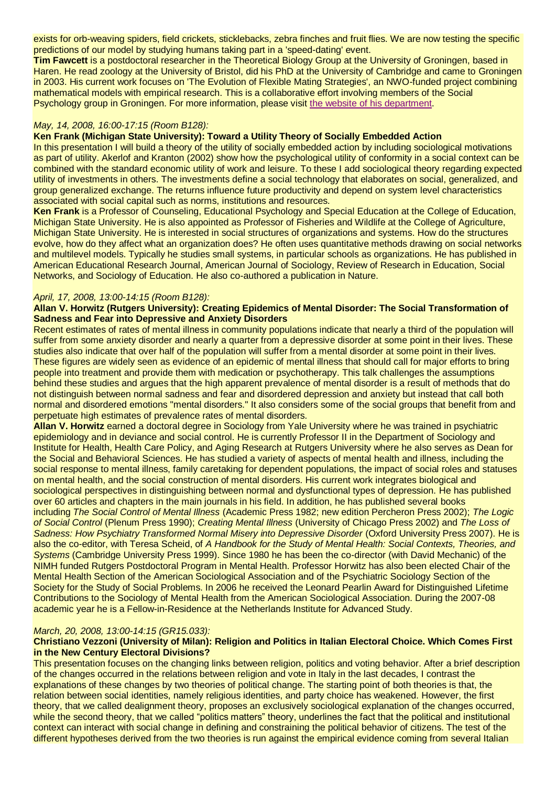exists for orb-weaving spiders, field crickets, sticklebacks, zebra finches and fruit flies. We are now testing the specific predictions of our model by studying humans taking part in a 'speed-dating' event.

**Tim Fawcett** is a postdoctoral researcher in the Theoretical Biology Group at the University of Groningen, based in Haren. He read zoology at the University of Bristol, did his PhD at the University of Cambridge and came to Groningen in 2003. His current work focuses on 'The Evolution of Flexible Mating Strategies', an NWO-funded project combining mathematical models with empirical research. This is a collaborative effort involving members of the Social Psychology group in Groningen. For more information, please visit [the website of his department.](http://www.rug.nl/biol/theobio)

# *May, 14, 2008, 16:00-17:15 (Room B128):*

## **Ken Frank (Michigan State University): Toward a Utility Theory of Socially Embedded Action**

In this presentation I will build a theory of the utility of socially embedded action by including sociological motivations as part of utility. Akerlof and Kranton (2002) show how the psychological utility of conformity in a social context can be combined with the standard economic utility of work and leisure. To these I add sociological theory regarding expected utility of investments in others. The investments define a social technology that elaborates on social, generalized, and group generalized exchange. The returns influence future productivity and depend on system level characteristics associated with social capital such as norms, institutions and resources.

**Ken Frank** is a Professor of Counseling, Educational Psychology and Special Education at the College of Education, Michigan State University. He is also appointed as Professor of Fisheries and Wildlife at the College of Agriculture, Michigan State University. He is interested in social structures of organizations and systems. How do the structures evolve, how do they affect what an organization does? He often uses quantitative methods drawing on social networks and multilevel models. Typically he studies small systems, in particular schools as organizations. He has published in American Educational Research Journal, American Journal of Sociology, Review of Research in Education, Social Networks, and Sociology of Education. He also co-authored a publication in Nature.

#### *April, 17, 2008, 13:00-14:15 (Room B128):*

## **Allan V. Horwitz (Rutgers University): Creating Epidemics of Mental Disorder: The Social Transformation of Sadness and Fear into Depressive and Anxiety Disorders**

Recent estimates of rates of mental illness in community populations indicate that nearly a third of the population will suffer from some anxiety disorder and nearly a quarter from a depressive disorder at some point in their lives. These studies also indicate that over half of the population will suffer from a mental disorder at some point in their lives. These figures are widely seen as evidence of an epidemic of mental illness that should call for major efforts to bring people into treatment and provide them with medication or psychotherapy. This talk challenges the assumptions behind these studies and argues that the high apparent prevalence of mental disorder is a result of methods that do not distinguish between normal sadness and fear and disordered depression and anxiety but instead that call both normal and disordered emotions "mental disorders." It also considers some of the social groups that benefit from and perpetuate high estimates of prevalence rates of mental disorders.

**Allan V. Horwitz** earned a doctoral degree in Sociology from Yale University where he was trained in psychiatric epidemiology and in deviance and social control. He is currently Professor II in the Department of Sociology and Institute for Health, Health Care Policy, and Aging Research at Rutgers University where he also serves as Dean for the Social and Behavioral Sciences. He has studied a variety of aspects of mental health and illness, including the social response to mental illness, family caretaking for dependent populations, the impact of social roles and statuses on mental health, and the social construction of mental disorders. His current work integrates biological and sociological perspectives in distinguishing between normal and dysfunctional types of depression. He has published over 60 articles and chapters in the main journals in his field. In addition, he has published several books including *The Social Control of Mental Illness* (Academic Press 1982; new edition Percheron Press 2002); *The Logic of Social Control* (Plenum Press 1990); *Creating Mental Illness* (University of Chicago Press 2002) and *The Loss of Sadness: How Psychiatry Transformed Normal Misery into Depressive Disorder* (Oxford University Press 2007). He is also the co-editor, with Teresa Scheid, of *A Handbook for the Study of Mental Health: Social Contexts, Theories, and Systems* (Cambridge University Press 1999). Since 1980 he has been the co-director (with David Mechanic) of the NIMH funded Rutgers Postdoctoral Program in Mental Health. Professor Horwitz has also been elected Chair of the Mental Health Section of the American Sociological Association and of the Psychiatric Sociology Section of the Society for the Study of Social Problems. In 2006 he received the Leonard Pearlin Award for Distinguished Lifetime Contributions to the Sociology of Mental Health from the American Sociological Association. During the 2007-08 academic year he is a Fellow-in-Residence at the Netherlands Institute for Advanced Study.

## *March, 20, 2008, 13:00-14:15 (GR15.033):*

#### **Christiano Vezzoni (University of Milan): Religion and Politics in Italian Electoral Choice. Which Comes First in the New Century Electoral Divisions?**

This presentation focuses on the changing links between religion, politics and voting behavior. After a brief description of the changes occurred in the relations between religion and vote in Italy in the last decades, I contrast the explanations of these changes by two theories of political change. The starting point of both theories is that, the relation between social identities, namely religious identities, and party choice has weakened. However, the first theory, that we called dealignment theory, proposes an exclusively sociological explanation of the changes occurred, while the second theory, that we called "politics matters" theory, underlines the fact that the political and institutional context can interact with social change in defining and constraining the political behavior of citizens. The test of the different hypotheses derived from the two theories is run against the empirical evidence coming from several Italian